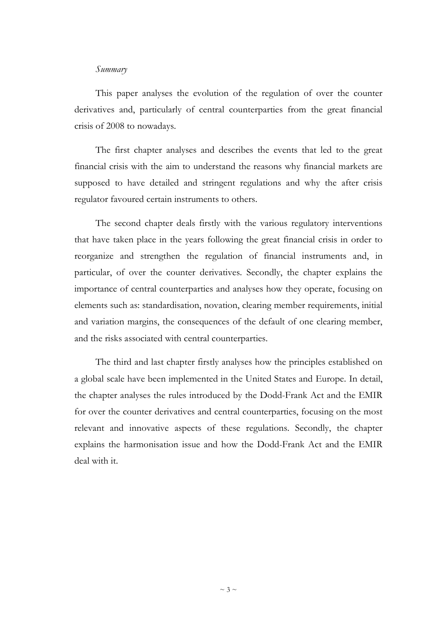## *Summary*

This paper analyses the evolution of the regulation of over the counter derivatives and, particularly of central counterparties from the great financial crisis of 2008 to nowadays.

The first chapter analyses and describes the events that led to the great financial crisis with the aim to understand the reasons why financial markets are supposed to have detailed and stringent regulations and why the after crisis regulator favoured certain instruments to others.

The second chapter deals firstly with the various regulatory interventions that have taken place in the years following the great financial crisis in order to reorganize and strengthen the regulation of financial instruments and, in particular, of over the counter derivatives. Secondly, the chapter explains the importance of central counterparties and analyses how they operate, focusing on elements such as: standardisation, novation, clearing member requirements, initial and variation margins, the consequences of the default of one clearing member, and the risks associated with central counterparties.

The third and last chapter firstly analyses how the principles established on a global scale have been implemented in the United States and Europe. In detail, the chapter analyses the rules introduced by the Dodd-Frank Act and the EMIR for over the counter derivatives and central counterparties, focusing on the most relevant and innovative aspects of these regulations. Secondly, the chapter explains the harmonisation issue and how the Dodd-Frank Act and the EMIR deal with it.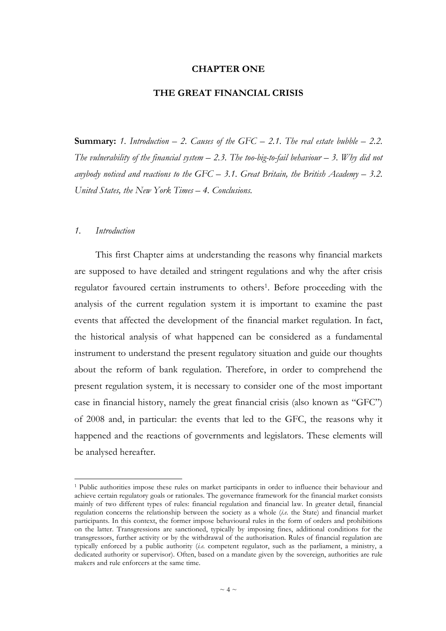#### **CHAPTER ONE**

#### **THE GREAT FINANCIAL CRISIS**

**Summary:** 1. Introduction  $-$  2. Causes of the GFC  $-$  2.1. The real estate bubble  $-$  2.2. *The vulnerability of the financial system – 2.3. The too-big-to-fail behaviour – 3. Why did not anybody noticed and reactions to the GFC – 3.1. Great Britain, the British Academy – 3.2. United States, the New York Times – 4. Conclusions.*

#### *1. Introduction*

 $\overline{a}$ 

This first Chapter aims at understanding the reasons why financial markets are supposed to have detailed and stringent regulations and why the after crisis regulator favoured certain instruments to others<sup>1</sup>. Before proceeding with the analysis of the current regulation system it is important to examine the past events that affected the development of the financial market regulation. In fact, the historical analysis of what happened can be considered as a fundamental instrument to understand the present regulatory situation and guide our thoughts about the reform of bank regulation. Therefore, in order to comprehend the present regulation system, it is necessary to consider one of the most important case in financial history, namely the great financial crisis (also known as "GFC") of 2008 and, in particular: the events that led to the GFC, the reasons why it happened and the reactions of governments and legislators. These elements will be analysed hereafter.

<sup>&</sup>lt;sup>1</sup> Public authorities impose these rules on market participants in order to influence their behaviour and achieve certain regulatory goals or rationales. The governance framework for the financial market consists mainly of two different types of rules: financial regulation and financial law. In greater detail, financial regulation concerns the relationship between the society as a whole (*i.e.* the State) and financial market participants. In this context, the former impose behavioural rules in the form of orders and prohibitions on the latter. Transgressions are sanctioned, typically by imposing fines, additional conditions for the transgressors, further activity or by the withdrawal of the authorisation. Rules of financial regulation are typically enforced by a public authority (*i.e.* competent regulator, such as the parliament, a ministry, a dedicated authority or supervisor). Often, based on a mandate given by the sovereign, authorities are rule makers and rule enforcers at the same time.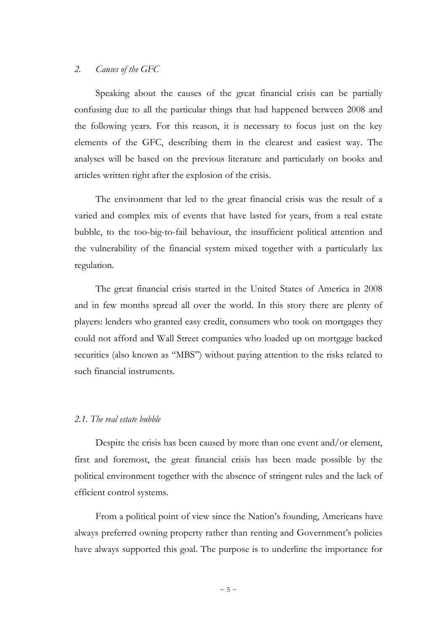## *2. Causes of the GFC*

Speaking about the causes of the great financial crisis can be partially confusing due to all the particular things that had happened between 2008 and the following years. For this reason, it is necessary to focus just on the key elements of the GFC, describing them in the clearest and easiest way. The analyses will be based on the previous literature and particularly on books and articles written right after the explosion of the crisis.

The environment that led to the great financial crisis was the result of a varied and complex mix of events that have lasted for years, from a real estate bubble, to the too-big-to-fail behaviour, the insufficient political attention and the vulnerability of the financial system mixed together with a particularly lax regulation.

The great financial crisis started in the United States of America in 2008 and in few months spread all over the world. In this story there are plenty of players: lenders who granted easy credit, consumers who took on mortgages they could not afford and Wall Street companies who loaded up on mortgage backed securities (also known as "MBS") without paying attention to the risks related to such financial instruments.

#### *2.1. The real estate bubble*

Despite the crisis has been caused by more than one event and/or element, first and foremost, the great financial crisis has been made possible by the political environment together with the absence of stringent rules and the lack of efficient control systems.

From a political point of view since the Nation's founding, Americans have always preferred owning property rather than renting and Government's policies have always supported this goal. The purpose is to underline the importance for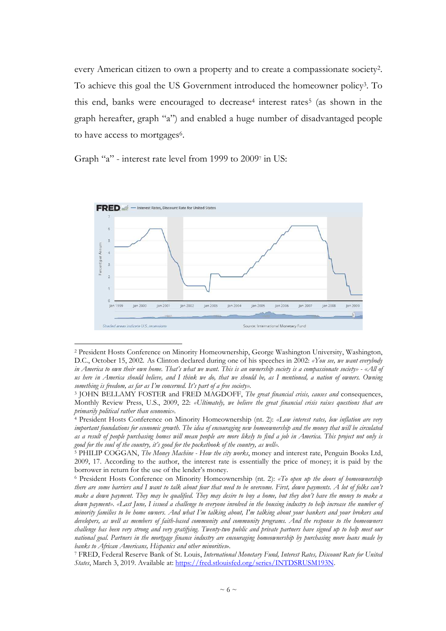every American citizen to own a property and to create a compassionate society<sup>2</sup> . To achieve this goal the US Government introduced the homeowner policy<sup>3</sup> . To this end, banks were encouraged to decrease<sup>4</sup> interest rates<sup>5</sup> (as shown in the graph hereafter, graph "a") and enabled a huge number of disadvantaged people to have access to mortgages<sup>6</sup>.

Graph "a" - interest rate level from 1999 to 2009<sup>7</sup> in US:



<sup>2</sup> President Hosts Conference on Minority Homeownership, George Washington University, Washington, D.C., October 15, 2002. As Clinton declared during one of his speeches in 2002: *«You see, we want everybody in America to own their own home. That's what we want. This is an ownership society is a compassionate society» - «All of us here in America should believe, and I think we do, that we should be, as I mentioned, a nation of owners. Owning something is freedom, as far as I'm concerned. It's part of a free society».*

<sup>3</sup> JOHN BELLAMY FOSTER and FRED MAGDOFF, *The great financial crisis, causes and* consequences, Monthly Review Press, U.S., 2009, 22: *«Ultimately, we believe the great financial crisis raises questions that are primarily political rather than economic».*

<sup>4</sup> President Hosts Conference on Minority Homeownership (nt. 2): *«Low interest rates, low inflation are very important foundations for economic growth. The idea of encouraging new homeownership and the money that will be circulated as a result of people purchasing homes will mean people are more likely to find a job in America. This project not only is good for the soul of the country, it's good for the pocketbook of the country, as well».* 

<sup>5</sup> PHILIP COGGAN, *The Money Machine - How the city works*, money and interest rate, Penguin Books Ltd, 2009, 17. According to the author, the interest rate is essentially the price of money; it is paid by the borrower in return for the use of the lender's money.

<sup>6</sup> President Hosts Conference on Minority Homeownership (nt. 2): *«To open up the doors of homeownership there are some barriers and I want to talk about four that need to be overcome. First, down payments. A lot of folks can't make a down payment. They may be qualified. They may desire to buy a home, but they don't have the money to make a down payment». «Last June, I issued a challenge to everyone involved in the housing industry to help increase the number of minority families to be home owners. And what I'm talking about, I'm talking about your bankers and your brokers and developers, as well as members of faith-based community and community programs. And the response to the homeowners challenge has been very strong and very gratifying. Twenty-two public and private partners have signed up to help meet our national goal. Partners in the mortgage finance industry are encouraging homeownership by purchasing more loans made by banks to African Americans, Hispanics and other minorities*».

<sup>7</sup> FRED, Federal Reserve Bank of St. Louis, *International Monetary Fund, Interest Rates, Discount Rate for United States*, March 3, 2019. Available at: https://fred.stlouisfed.org/series/INTDSRUSM193N.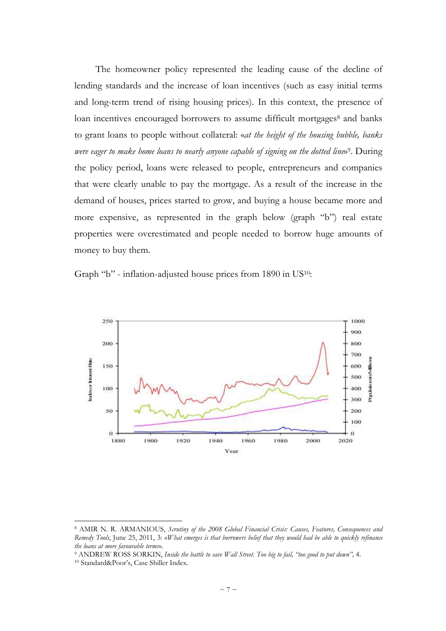The homeowner policy represented the leading cause of the decline of lending standards and the increase of loan incentives (such as easy initial terms and long-term trend of rising housing prices). In this context, the presence of loan incentives encouraged borrowers to assume difficult mortgages<sup>8</sup> and banks to grant loans to people without collateral: «*at the height of the housing bubble, banks*  were eager to make home loans to nearly anyone capable of signing on the dotted line»<sup>9</sup>. During the policy period, loans were released to people, entrepreneurs and companies that were clearly unable to pay the mortgage. As a result of the increase in the demand of houses, prices started to grow, and buying a house became more and more expensive, as represented in the graph below (graph "b") real estate properties were overestimated and people needed to borrow huge amounts of money to buy them.

Graph "b" - inflation-adjusted house prices from 1890 in US10:



<sup>8</sup> AMIR N. R. ARMANIOUS, *Scrutiny of the 2008 Global Financial Crisis: Causes, Features, Consequences and Remedy Tools*, June 25, 2011, 3: «*What emerges is that borrowers belief that they would had be able to quickly refinance the loans at more favourable terms*».

<sup>9</sup> ANDREW ROSS SORKIN, *Inside the battle to save Wall Street. Too big to fail, "too good to put down",* 4.

<sup>10</sup> Standard&Poor's, Case Shiller Index.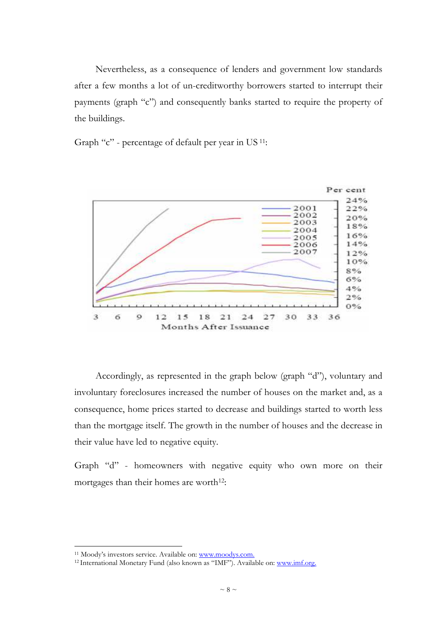Nevertheless, as a consequence of lenders and government low standards after a few months a lot of un-creditworthy borrowers started to interrupt their payments (graph "c") and consequently banks started to require the property of the buildings.

Graph "c" - percentage of default per year in US 11:



Accordingly, as represented in the graph below (graph "d"), voluntary and involuntary foreclosures increased the number of houses on the market and, as a consequence, home prices started to decrease and buildings started to worth less than the mortgage itself. The growth in the number of houses and the decrease in their value have led to negative equity.

Graph "d" - homeowners with negative equity who own more on their mortgages than their homes are worth<sup>12</sup>:

<sup>&</sup>lt;sup>11</sup> Moody's investors service. Available on: www.moodys.com.

<sup>&</sup>lt;sup>12</sup> International Monetary Fund (also known as "IMF"). Available on: www.imf.org.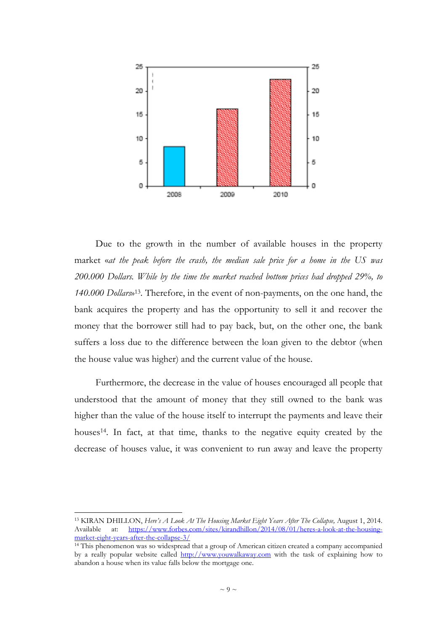

Due to the growth in the number of available houses in the property market «*at the peak before the crash, the median sale price for a home in the US was 200.000 Dollars. While by the time the market reached bottom prices had dropped 29%, to 140.000 Dollars*» <sup>13</sup>. Therefore, in the event of non-payments, on the one hand, the bank acquires the property and has the opportunity to sell it and recover the money that the borrower still had to pay back, but, on the other one, the bank suffers a loss due to the difference between the loan given to the debtor (when the house value was higher) and the current value of the house.

Furthermore, the decrease in the value of houses encouraged all people that understood that the amount of money that they still owned to the bank was higher than the value of the house itself to interrupt the payments and leave their houses<sup>14</sup>. In fact, at that time, thanks to the negative equity created by the decrease of houses value, it was convenient to run away and leave the property

<sup>13</sup> KIRAN DHILLON, *Here's A Look At The Housing Market Eight Years After The Collapse,* August 1, 2014. Available at: https://www.forbes.com/sites/kirandhillon/2014/08/01/heres-a-look-at-the-housingmarket-eight-years-after-the-collapse-3/

<sup>&</sup>lt;sup>14</sup> This phenomenon was so widespread that a group of American citizen created a company accompanied by a really popular website called http://www.youwalkaway.com with the task of explaining how to abandon a house when its value falls below the mortgage one.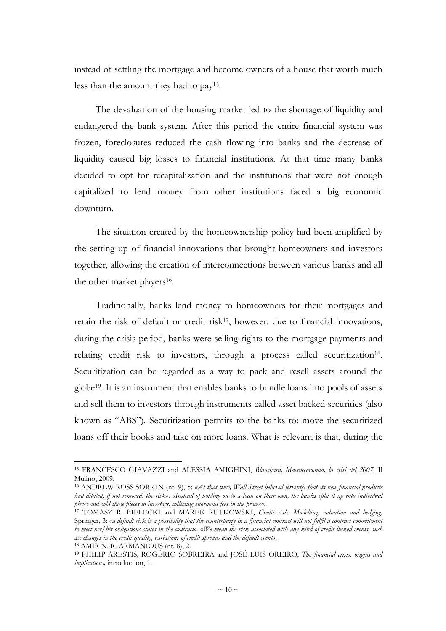instead of settling the mortgage and become owners of a house that worth much less than the amount they had to pay<sup>15</sup> .

The devaluation of the housing market led to the shortage of liquidity and endangered the bank system. After this period the entire financial system was frozen, foreclosures reduced the cash flowing into banks and the decrease of liquidity caused big losses to financial institutions. At that time many banks decided to opt for recapitalization and the institutions that were not enough capitalized to lend money from other institutions faced a big economic downturn.

The situation created by the homeownership policy had been amplified by the setting up of financial innovations that brought homeowners and investors together, allowing the creation of interconnections between various banks and all the other market players<sup>16</sup>.

Traditionally, banks lend money to homeowners for their mortgages and retain the risk of default or credit risk<sup>17</sup>, however, due to financial innovations, during the crisis period, banks were selling rights to the mortgage payments and relating credit risk to investors, through a process called securitization<sup>18</sup>. Securitization can be regarded as a way to pack and resell assets around the globe19. It is an instrument that enables banks to bundle loans into pools of assets and sell them to investors through instruments called asset backed securities (also known as "ABS"). Securitization permits to the banks to: move the securitized loans off their books and take on more loans. What is relevant is that, during the

<sup>15</sup> FRANCESCO GIAVAZZI and ALESSIA AMIGHINI, *Blanchard, Macroeconomia, la crisi del 2007,* Il Mulino, 2009.

<sup>16</sup> ANDREW ROSS SORKIN (nt. 9), 5: *«At that time, Wall Street believed fervently that its new financial products had diluted, if not removed, the risk». «Instead of holding on to a loan on their own, the banks split it up into individual pieces and sold those pieces to investors, collecting enormous fees in the process».* 

<sup>17</sup> TOMASZ R. BIELECKI and MAREK RUTKOWSKI, *Credit risk: Modelling, valuation and hedging,*  Springer, 3: *«a default risk is a possibility that the counterparty in a financial contract will not fulfil a contract commitment to meet her/his obligations states in the contract*»*.* «*We mean the risk associated with any kind of credit-linked events, such as: changes in the credit quality, variations of credit spreads and the default event*».

 $18$  AMIR N. R. ARMANIOUS (nt. 8), 2.

<sup>19</sup> PHILIP ARESTIS, ROGÉRIO SOBREIRA and JOSÉ LUIS OREIRO, *The financial crisis, origins and implications,* introduction, 1.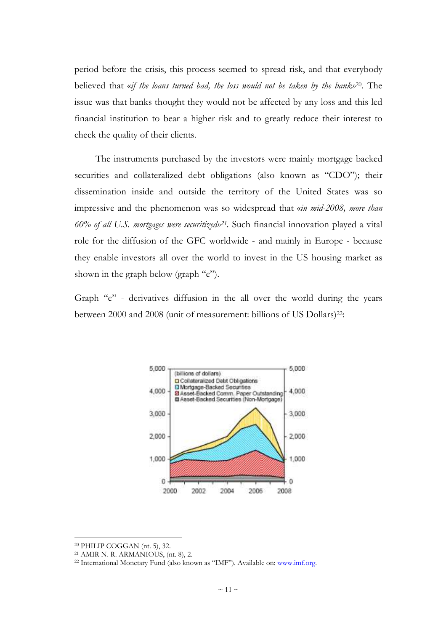period before the crisis, this process seemed to spread risk, and that everybody believed that «*if the loans turned bad, the loss would not be taken by the bank»*20. The issue was that banks thought they would not be affected by any loss and this led financial institution to bear a higher risk and to greatly reduce their interest to check the quality of their clients.

The instruments purchased by the investors were mainly mortgage backed securities and collateralized debt obligations (also known as "CDO"); their dissemination inside and outside the territory of the United States was so impressive and the phenomenon was so widespread that «*in mid-2008, more than 60% of all U.S. mortgages were securitized»<sup>21</sup> .* Such financial innovation played a vital role for the diffusion of the GFC worldwide - and mainly in Europe - because they enable investors all over the world to invest in the US housing market as shown in the graph below (graph "e").

Graph "e" - derivatives diffusion in the all over the world during the years between 2000 and 2008 (unit of measurement: billions of US Dollars)<sup>22</sup>:



<sup>20</sup> PHILIP COGGAN (nt. 5), 32.

<sup>21</sup> AMIR N. R. ARMANIOUS, (nt. 8), 2.

<sup>&</sup>lt;sup>22</sup> International Monetary Fund (also known as "IMF"). Available on: www.imf.org.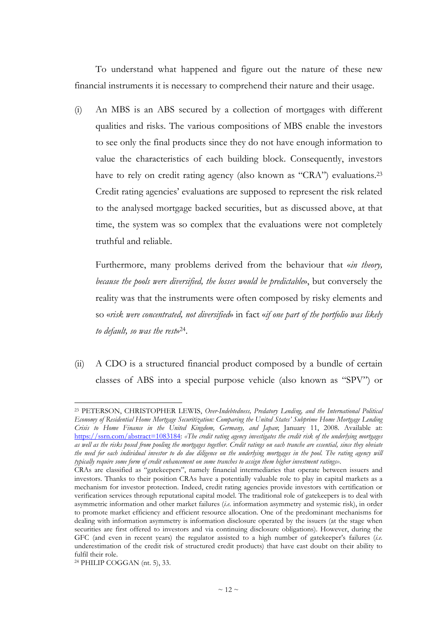To understand what happened and figure out the nature of these new financial instruments it is necessary to comprehend their nature and their usage.

(i) An MBS is an ABS secured by a collection of mortgages with different qualities and risks. The various compositions of MBS enable the investors to see only the final products since they do not have enough information to value the characteristics of each building block. Consequently, investors have to rely on credit rating agency (also known as "CRA") evaluations.<sup>23</sup> Credit rating agencies' evaluations are supposed to represent the risk related to the analysed mortgage backed securities, but as discussed above, at that time, the system was so complex that the evaluations were not completely truthful and reliable.

Furthermore, many problems derived from the behaviour that «*in theory, because the pools were diversified, the losses would be predictable*», but conversely the reality was that the instruments were often composed by risky elements and so «*risk were concentrated, not diversified*» in fact «*if one part of the portfolio was likely to default, so was the rest*» 24 .

(ii) A CDO is a structured financial product composed by a bundle of certain classes of ABS into a special purpose vehicle (also known as "SPV") or

<sup>23</sup> PETERSON, CHRISTOPHER LEWIS, *Over-Indebtedness, Predatory Lending, and the International Political Economy of Residential Home Mortgage Securitization: Comparing the United States' Subprime Home Mortgage Lending Crisis to Home Finance in the United Kingdom, Germany, and Japan*; January 11, 2008. Available at: https://ssrn.com/abstract=1083184: *«The credit rating agency investigates the credit risk of the underlying mortgages as well as the risks posed from pooling the mortgages together. Credit ratings on each tranche are essential, since they obviate the need for each individual investor to do due diligence on the underlying mortgages in the pool. The rating agency will typically require some form of credit enhancement on some tranches to assign them higher investment ratings»*.

CRAs are classified as "gatekeepers", namely financial intermediaries that operate between issuers and investors. Thanks to their position CRAs have a potentially valuable role to play in capital markets as a mechanism for investor protection. Indeed, credit rating agencies provide investors with certification or verification services through reputational capital model. The traditional role of gatekeepers is to deal with asymmetric information and other market failures (*i.e.* information asymmetry and systemic risk), in order to promote market efficiency and efficient resource allocation. One of the predominant mechanisms for dealing with information asymmetry is information disclosure operated by the issuers (at the stage when securities are first offered to investors and via continuing disclosure obligations). However, during the GFC (and even in recent years) the regulator assisted to a high number of gatekeeper's failures (*i.e.* underestimation of the credit risk of structured credit products) that have cast doubt on their ability to fulfil their role.

<sup>24</sup> PHILIP COGGAN (nt. 5), 33.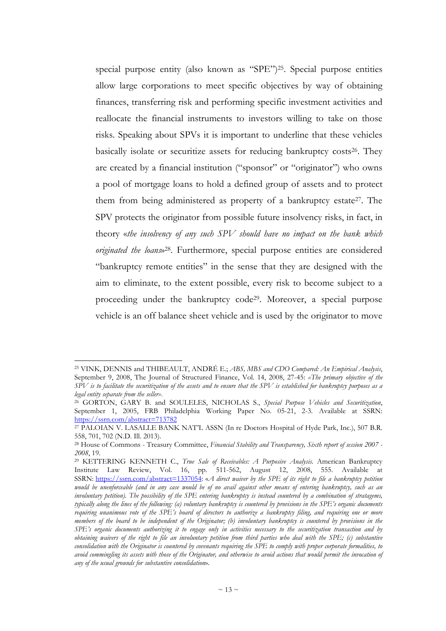special purpose entity (also known as "SPE")25. Special purpose entities allow large corporations to meet specific objectives by way of obtaining finances, transferring risk and performing specific investment activities and reallocate the financial instruments to investors willing to take on those risks. Speaking about SPVs it is important to underline that these vehicles basically isolate or securitize assets for reducing bankruptcy costs<sup>26</sup>. They are created by a financial institution ("sponsor" or "originator") who owns a pool of mortgage loans to hold a defined group of assets and to protect them from being administered as property of a bankruptcy estate<sup>27</sup>. The SPV protects the originator from possible future insolvency risks, in fact, in theory «*the insolvency of any such SPV should have no impact on the bank which originated the loans*» <sup>28</sup>. Furthermore, special purpose entities are considered "bankruptcy remote entities" in the sense that they are designed with the aim to eliminate, to the extent possible, every risk to become subject to a proceeding under the bankruptcy code29. Moreover, a special purpose vehicle is an off balance sheet vehicle and is used by the originator to move

<sup>25</sup> VINK, DENNIS and THIBEAULT, ANDRÉ E.; *ABS, MBS and CDO Compared: An Empirical Analysis*, September 9, 2008, The Journal of Structured Finance, Vol. 14, 2008, 27-45: *«The primary objective of the SPV is to facilitate the securitization of the assets and to ensure that the SPV is established for bankruptcy purposes as a legal entity separate from the seller»*.

<sup>26</sup> GORTON, GARY B. and SOULELES, NICHOLAS S., *Special Purpose Vehicles and Securitization*, September 1, 2005, FRB Philadelphia Working Paper No. 05-21, 2-3. Available at SSRN: https://ssrn.com/abstract=713782

<sup>27</sup> PALOIAN V. LASALLE BANK NAT'L ASSN (In re Doctors Hospital of Hyde Park, Inc.), 507 B.R. 558, 701, 702 (N.D. Ill. 2013).

<sup>28</sup> House of Commons - Treasury Committee, *Financial Stability and Transparency, Sixth report of session 2007 - 2008*, 19.

<sup>29</sup> KETTERING KENNETH C., *True Sale of Receivables: A Purposive Analysis*. American Bankruptcy Institute Law Review, Vol. 16, pp. 511-562, August 12, 2008, 555. Available at SSRN: https://ssrn.com/abstract=1337054: «*A direct waiver by the SPE of its right to file a bankruptcy petition would be unenforceable (and in any case would be of no avail against other means of entering bankruptcy, such as an involuntary petition). The possibility of the SPE entering bankruptcy is instead countered by a combination of stratagems, typically along the lines of the following: (a) voluntary bankruptcy is countered by provisions in the SPE's organic documents requiring unanimous vote of the SPE's board of directors to authorize a bankruptcy filing, and requiring one or more members of the board to be independent of the Originator; (b) involuntary bankruptcy is countered by provisions in the SPE's organic documents authorizing it to engage only in activities necessary to the securitization transaction and by obtaining waivers of the right to file an involuntary petition from third parties who deal with the SPE; (c) substantive consolidation with the Originator is countered by covenants requiring the SPE to comply with proper corporate formalities, to avoid commingling its assets with those of the Originator, and otherwise to avoid actions that would permit the invocation of any of the usual grounds for substantive consolidation*».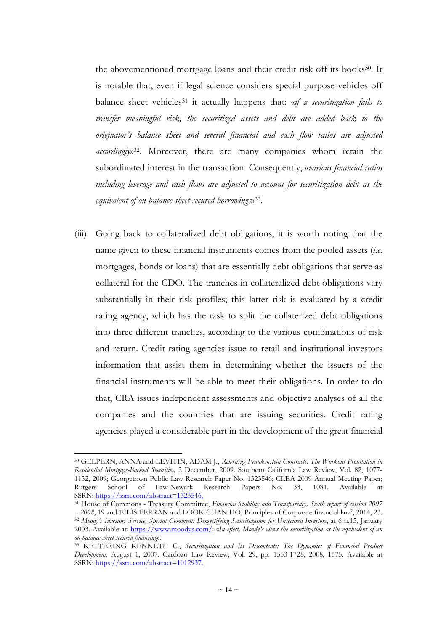the abovementioned mortgage loans and their credit risk off its books<sup>30</sup>. It is notable that, even if legal science considers special purpose vehicles off balance sheet vehicles<sup>31</sup> it actually happens that: «*if a securitization fails to transfer meaningful risk, the securitized assets and debt are added back to the originator's balance sheet and several financial and cash flow ratios are adjusted accordingly*» <sup>32</sup>. Moreover, there are many companies whom retain the subordinated interest in the transaction. Consequently, «*various financial ratios including leverage and cash flows are adjusted to account for securitization debt as the equivalent of on-balance-sheet secured borrowings*» 33 .

(iii) Going back to collateralized debt obligations, it is worth noting that the name given to these financial instruments comes from the pooled assets (*i.e.* mortgages, bonds or loans) that are essentially debt obligations that serve as collateral for the CDO. The tranches in collateralized debt obligations vary substantially in their risk profiles; this latter risk is evaluated by a credit rating agency, which has the task to split the collaterized debt obligations into three different tranches, according to the various combinations of risk and return. Credit rating agencies issue to retail and institutional investors information that assist them in determining whether the issuers of the financial instruments will be able to meet their obligations. In order to do that, CRA issues independent assessments and objective analyses of all the companies and the countries that are issuing securities. Credit rating agencies played a considerable part in the development of the great financial

<sup>30</sup> GELPERN, ANNA and LEVITIN, ADAM J., *Rewriting Frankenstein Contracts: The Workout Prohibition in Residential Mortgage-Backed Securities,* 2 December, 2009. Southern California Law Review, Vol. 82, 1077- 1152, 2009; Georgetown Public Law Research Paper No. 1323546; CLEA 2009 Annual Meeting Paper; Rutgers School of Law-Newark Research Papers No. 33, 1081. Available at SSRN: https://ssrn.com/abstract=1323546.

<sup>31</sup> House of Commons - Treasury Committee, *Financial Stability and Transparency, Sixth report of session 2007*   $-$  2008, 19 and EILIS FERRAN and LOOK CHAN HO, Principles of Corporate financial law<sup>2</sup>, 2014, 23. <sup>32</sup> *Moody's Investors Service, Special Comment: Demystifying Securitization for Unsecured Investors*, at 6 n.15, January 2003. Available at: https://www.moodys.com/: «*In effect, Moody's views the securitization as the equivalent of an on-balance-sheet secured financing*».

<sup>33</sup> KETTERING KENNETH C., *Securitization and Its Discontents: The Dynamics of Financial Product Development,* August 1, 2007. Cardozo Law Review, Vol. 29, pp. 1553-1728, 2008, 1575. Available at SSRN: https://ssrn.com/abstract=1012937.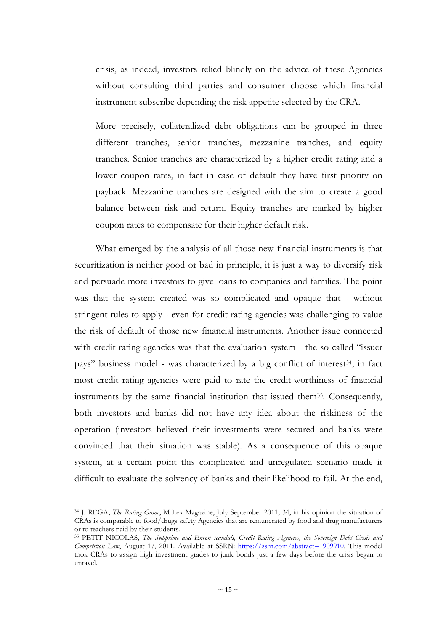crisis, as indeed, investors relied blindly on the advice of these Agencies without consulting third parties and consumer choose which financial instrument subscribe depending the risk appetite selected by the CRA.

More precisely, collateralized debt obligations can be grouped in three different tranches, senior tranches, mezzanine tranches, and equity tranches. Senior tranches are characterized by a higher credit rating and a lower coupon rates, in fact in case of default they have first priority on payback. Mezzanine tranches are designed with the aim to create a good balance between risk and return. Equity tranches are marked by higher coupon rates to compensate for their higher default risk.

What emerged by the analysis of all those new financial instruments is that securitization is neither good or bad in principle, it is just a way to diversify risk and persuade more investors to give loans to companies and families. The point was that the system created was so complicated and opaque that - without stringent rules to apply - even for credit rating agencies was challenging to value the risk of default of those new financial instruments. Another issue connected with credit rating agencies was that the evaluation system - the so called "issuer pays" business model - was characterized by a big conflict of interest<sup>34</sup>; in fact most credit rating agencies were paid to rate the credit-worthiness of financial instruments by the same financial institution that issued them<sup>35</sup>. Consequently, both investors and banks did not have any idea about the riskiness of the operation (investors believed their investments were secured and banks were convinced that their situation was stable). As a consequence of this opaque system, at a certain point this complicated and unregulated scenario made it difficult to evaluate the solvency of banks and their likelihood to fail. At the end,

<sup>34</sup> J. REGA, *The Rating Game*, M-Lex Magazine, July September 2011, 34, in his opinion the situation of CRAs is comparable to food/drugs safety Agencies that are remunerated by food and drug manufacturers or to teachers paid by their students.

<sup>35</sup> PETIT NICOLAS, *The Subprime and Enron scandals, Credit Rating Agencies, the Sovereign Debt Crisis and Competition Law*, August 17, 2011. Available at SSRN: https://ssrn.com/abstract=1909910. This model took CRAs to assign high investment grades to junk bonds just a few days before the crisis began to unravel.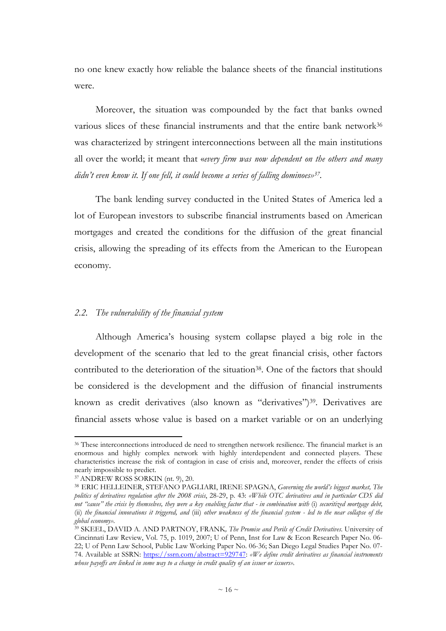no one knew exactly how reliable the balance sheets of the financial institutions were.

Moreover, the situation was compounded by the fact that banks owned various slices of these financial instruments and that the entire bank network<sup>36</sup> was characterized by stringent interconnections between all the main institutions all over the world; it meant that «*every firm was now dependent on the others and many didn't even know it. If one fell, it could become a series of falling dominoes»<sup>37</sup> .* 

The bank lending survey conducted in the United States of America led a lot of European investors to subscribe financial instruments based on American mortgages and created the conditions for the diffusion of the great financial crisis, allowing the spreading of its effects from the American to the European economy.

### *2.2. The vulnerability of the financial system*

Although America's housing system collapse played a big role in the development of the scenario that led to the great financial crisis, other factors contributed to the deterioration of the situation<sup>38</sup>. One of the factors that should be considered is the development and the diffusion of financial instruments known as credit derivatives (also known as "derivatives")<sup>39</sup>. Derivatives are financial assets whose value is based on a market variable or on an underlying

<sup>&</sup>lt;sup>36</sup> These interconnections introduced de need to strengthen network resilience. The financial market is an enormous and highly complex network with highly interdependent and connected players. These characteristics increase the risk of contagion in case of crisis and, moreover, render the effects of crisis nearly impossible to predict.

<sup>37</sup>ANDREW ROSS SORKIN (nt. 9), 20.

<sup>38</sup>ERIC HELLEINER, STEFANO PAGLIARI, IRENE SPAGNA, *Governing the world's biggest market, The politics of derivatives regulation after the 2008 crisis*, 28-29, p. 43: *«While OTC derivatives and in particular CDS did not "cause" the crisis by themselves, they were a key enabling factor that - in combination with* (i) *securitized mortgage debt,*  (ii) *the financial innovations it triggered, and* (iii) *other weakness of the financial system - led to the near collapse of the global economy».*

<sup>39</sup> SKEEL, DAVID A. AND PARTNOY, FRANK*, The Promise and Perils of Credit Derivatives*. University of Cincinnati Law Review, Vol. 75, p. 1019, 2007; U of Penn, Inst for Law & Econ Research Paper No. 06- 22; U of Penn Law School, Public Law Working Paper No. 06-36; San Diego Legal Studies Paper No. 07- 74. Available at SSRN: https://ssrn.com/abstract=929747: *«We define credit derivatives as financial instruments whose payoffs are linked in some way to a change in credit quality of an issuer or issuers».*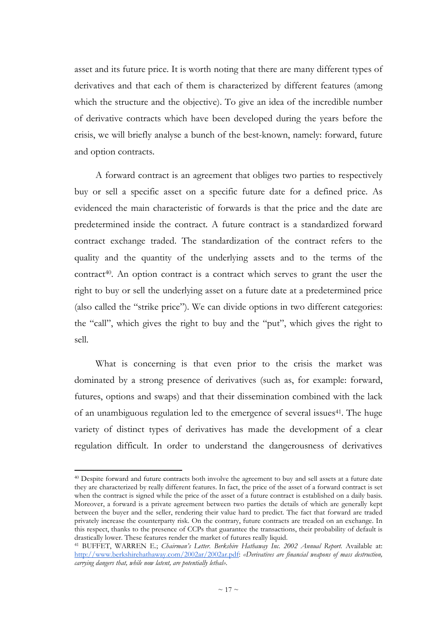asset and its future price. It is worth noting that there are many different types of derivatives and that each of them is characterized by different features (among which the structure and the objective). To give an idea of the incredible number of derivative contracts which have been developed during the years before the crisis, we will briefly analyse a bunch of the best-known, namely: forward, future and option contracts.

A forward contract is an agreement that obliges two parties to respectively buy or sell a specific asset on a specific future date for a defined price. As evidenced the main characteristic of forwards is that the price and the date are predetermined inside the contract. A future contract is a standardized forward contract exchange traded. The standardization of the contract refers to the quality and the quantity of the underlying assets and to the terms of the contract40. An option contract is a contract which serves to grant the user the right to buy or sell the underlying asset on a future date at a predetermined price (also called the "strike price"). We can divide options in two different categories: the "call", which gives the right to buy and the "put", which gives the right to sell.

What is concerning is that even prior to the crisis the market was dominated by a strong presence of derivatives (such as, for example: forward, futures, options and swaps) and that their dissemination combined with the lack of an unambiguous regulation led to the emergence of several issues<sup>41</sup>. The huge variety of distinct types of derivatives has made the development of a clear regulation difficult. In order to understand the dangerousness of derivatives

<sup>&</sup>lt;sup>40</sup> Despite forward and future contracts both involve the agreement to buy and sell assets at a future date they are characterized by really different features. In fact, the price of the asset of a forward contract is set when the contract is signed while the price of the asset of a future contract is established on a daily basis. Moreover, a forward is a private agreement between two parties the details of which are generally kept between the buyer and the seller, rendering their value hard to predict. The fact that forward are traded privately increase the counterparty risk. On the contrary, future contracts are treaded on an exchange. In this respect, thanks to the presence of CCPs that guarantee the transactions, their probability of default is drastically lower. These features render the market of futures really liquid.

<sup>41</sup> BUFFET, WARREN E.; *Chairman's Letter. Berkshire Hathaway Inc. 2002 Annual Report.* Available at: http://www.berkshirehathaway.com/2002ar/2002ar.pdf: *«Derivatives are financial weapons of mass destruction, carrying dangers that, while now latent, are potentially lethal».*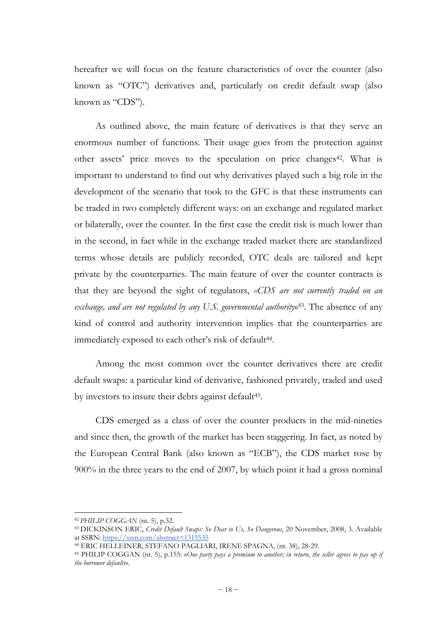hereafter we will focus on the feature characteristics of over the counter (also known as "OTC") derivatives and, particularly on credit default swap (also known as "CDS").

As outlined above, the main feature of derivatives is that they serve an enormous number of functions. Their usage goes from the protection against other assets' price moves to the speculation on price changes<sup>42</sup>. What is important to understand to find out why derivatives played such a big role in the development of the scenario that took to the GFC is that these instruments can be traded in two completely different ways: on an exchange and regulated market or bilaterally, over the counter. In the first case the credit risk is much lower than in the second, in fact while in the exchange traded market there are standardized terms whose details are publicly recorded, OTC deals are tailored and kept private by the counterparties. The main feature of over the counter contracts is that they are beyond the sight of regulators, *«CDS are not currently traded on an*  exchange, and are not regulated by any U.S. governmental authority»<sup>43</sup>. The absence of any kind of control and authority intervention implies that the counterparties are immediately exposed to each other's risk of default<sup>44</sup>.

Among the most common over the counter derivatives there are credit default swaps: a particular kind of derivative, fashioned privately, traded and used by investors to insure their debts against default<sup>45</sup>.

CDS emerged as a class of over the counter products in the mid-nineties and since then, the growth of the market has been staggering. In fact, as noted by the European Central Bank (also known as "ECB"), the CDS market rose by 900% in the three years to the end of 2007, by which point it had a gross nominal

<sup>42</sup>*PHILIP COGGAN* (nt. 5), p.32.

<sup>43</sup>DICKINSON ERIC, *Credit Default Swaps: So Dear to Us, So Dangerous*, 20 November, 2008, 3. Available at SSRN: https://ssrn.com/abstract=1315535

<sup>44</sup> ERIC HELLEINER, STEFANO PAGLIARI, IRENE SPAGNA, (nt. 38), 28-29.

<sup>45</sup> PHILIP COGGAN (nt. 5), p.155: «*One party pays a premium to another; in return, the seller agrees to pay up if the borrower defaults*».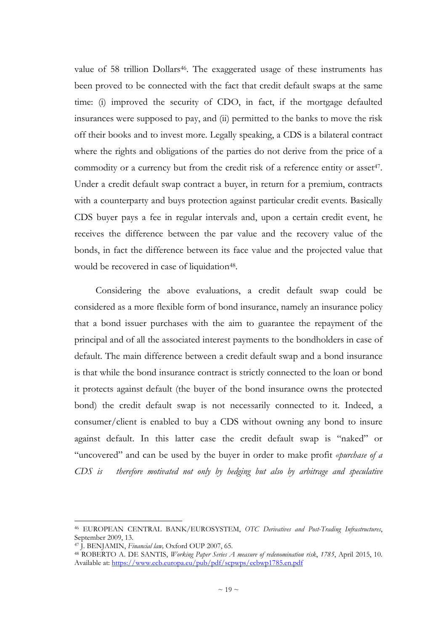value of 58 trillion Dollars<sup>46</sup>. The exaggerated usage of these instruments has been proved to be connected with the fact that credit default swaps at the same time: (i) improved the security of CDO, in fact, if the mortgage defaulted insurances were supposed to pay, and (ii) permitted to the banks to move the risk off their books and to invest more. Legally speaking, a CDS is a bilateral contract where the rights and obligations of the parties do not derive from the price of a commodity or a currency but from the credit risk of a reference entity or asset<sup>47</sup>. Under a credit default swap contract a buyer, in return for a premium, contracts with a counterparty and buys protection against particular credit events. Basically CDS buyer pays a fee in regular intervals and, upon a certain credit event, he receives the difference between the par value and the recovery value of the bonds, in fact the difference between its face value and the projected value that would be recovered in case of liquidation<sup>48</sup>.

Considering the above evaluations, a credit default swap could be considered as a more flexible form of bond insurance, namely an insurance policy that a bond issuer purchases with the aim to guarantee the repayment of the principal and of all the associated interest payments to the bondholders in case of default. The main difference between a credit default swap and a bond insurance is that while the bond insurance contract is strictly connected to the loan or bond it protects against default (the buyer of the bond insurance owns the protected bond) the credit default swap is not necessarily connected to it. Indeed, a consumer/client is enabled to buy a CDS without owning any bond to insure against default. In this latter case the credit default swap is "naked" or "uncovered" and can be used by the buyer in order to make profit *«purchase of a CDS is therefore motivated not only by hedging but also by arbitrage and speculative* 

<sup>46</sup> EUROPEAN CENTRAL BANK/EUROSYSTEM, *OTC Derivatives and Post-Trading Infrastructures*, September 2009, 13.

<sup>47</sup> J. BENJAMIN, *Financial law,* Oxford OUP 2007, 65.

<sup>48</sup> ROBERTO A. DE SANTIS, *Working Paper Series A measure of redenomination risk*, *1785*, April 2015, 10. Available at: https://www.ecb.europa.eu/pub/pdf/scpwps/ecbwp1785.en.pdf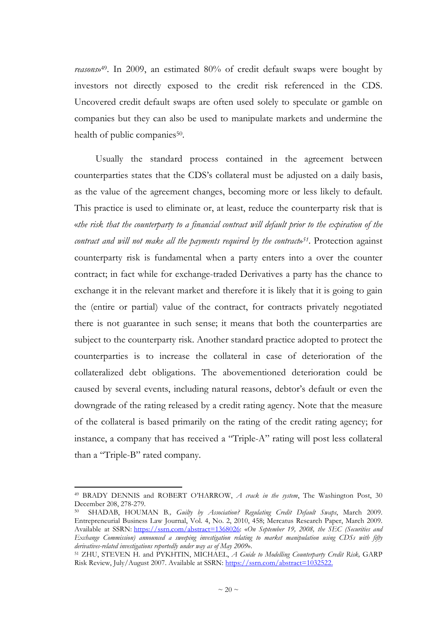*reasons*» <sup>49</sup>. In 2009, an estimated 80% of credit default swaps were bought by investors not directly exposed to the credit risk referenced in the CDS. Uncovered credit default swaps are often used solely to speculate or gamble on companies but they can also be used to manipulate markets and undermine the health of public companies<sup>50</sup>.

Usually the standard process contained in the agreement between counterparties states that the CDS's collateral must be adjusted on a daily basis, as the value of the agreement changes, becoming more or less likely to default. This practice is used to eliminate or, at least, reduce the counterparty risk that is «*the risk that the counterparty to a financial contract will default prior to the expiration of the contract and will not make all the payments required by the contract*» *<sup>51</sup>*. Protection against counterparty risk is fundamental when a party enters into a over the counter contract; in fact while for exchange-traded Derivatives a party has the chance to exchange it in the relevant market and therefore it is likely that it is going to gain the (entire or partial) value of the contract, for contracts privately negotiated there is not guarantee in such sense; it means that both the counterparties are subject to the counterparty risk. Another standard practice adopted to protect the counterparties is to increase the collateral in case of deterioration of the collateralized debt obligations. The abovementioned deterioration could be caused by several events, including natural reasons, debtor's default or even the downgrade of the rating released by a credit rating agency. Note that the measure of the collateral is based primarily on the rating of the credit rating agency; for instance, a company that has received a "Triple-A" rating will post less collateral than a "Triple-B" rated company.

<sup>49</sup> BRADY DENNIS and ROBERT O'HARROW, *A crack in the system*, The Washington Post, 30 December 208, 278-279.

<sup>50</sup> SHADAB, HOUMAN B*., Guilty by Association? Regulating Credit Default Swaps*, March 2009. Entrepreneurial Business Law Journal, Vol. 4, No. 2, 2010, 458; Mercatus Research Paper, March 2009. Available at SSRN: https://ssrn.com/abstract=1368026: «*On September 19, 2008, the SEC (Securities and Exchange Commission) announced a sweeping investigation relating to market manipulation using CDSs with fifty derivatives-related investigations reportedly under way as of May 2009*».

<sup>51</sup> ZHU, STEVEN H. and PYKHTIN, MICHAEL, *A Guide to Modelling Counterparty Credit Risk,* GARP Risk Review, July/August 2007. Available at SSRN: https://ssrn.com/abstract=1032522.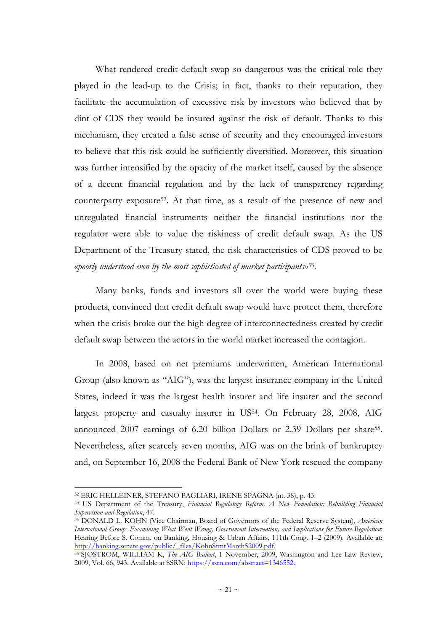What rendered credit default swap so dangerous was the critical role they played in the lead-up to the Crisis; in fact, thanks to their reputation, they facilitate the accumulation of excessive risk by investors who believed that by dint of CDS they would be insured against the risk of default. Thanks to this mechanism, they created a false sense of security and they encouraged investors to believe that this risk could be sufficiently diversified. Moreover, this situation was further intensified by the opacity of the market itself, caused by the absence of a decent financial regulation and by the lack of transparency regarding counterparty exposure52. At that time, as a result of the presence of new and unregulated financial instruments neither the financial institutions nor the regulator were able to value the riskiness of credit default swap. As the US Department of the Treasury stated, the risk characteristics of CDS proved to be «*poorly understood even by the most sophisticated of market participants»*<sup>53</sup> .

Many banks, funds and investors all over the world were buying these products, convinced that credit default swap would have protect them, therefore when the crisis broke out the high degree of interconnectedness created by credit default swap between the actors in the world market increased the contagion.

In 2008, based on net premiums underwritten, American International Group (also known as "AIG"), was the largest insurance company in the United States, indeed it was the largest health insurer and life insurer and the second largest property and casualty insurer in US<sup>54</sup>. On February 28, 2008, AIG announced 2007 earnings of 6.20 billion Dollars or 2.39 Dollars per share<sup>55</sup>. Nevertheless, after scarcely seven months, AIG was on the brink of bankruptcy and, on September 16, 2008 the Federal Bank of New York rescued the company

<sup>52</sup> ERIC HELLEINER, STEFANO PAGLIARI, IRENE SPAGNA (nt. 38), p. 43.

<sup>53</sup> US Department of the Treasury, *Financial Regulatory Reform, A New Foundation: Rebuilding Financial Supervision and Regulation*, 47.

<sup>54</sup> DONALD L. KOHN (Vice Chairman, Board of Governors of the Federal Reserve System), *American International Group: Examining What Went Wrong, Government Intervention, and Implications for Future Regulation*: Hearing Before S. Comm. on Banking, Housing & Urban Affairs, 111th Cong. 1–2 (2009). Available at: http://banking.senate.gov/public/\_files/KohnStmtMarch52009.pdf.

<sup>55</sup>SJOSTROM, WILLIAM K, *The AIG Bailout*, 1 November, 2009, Washington and Lee Law Review, 2009, Vol. 66, 943. Available at SSRN: https://ssrn.com/abstract=1346552.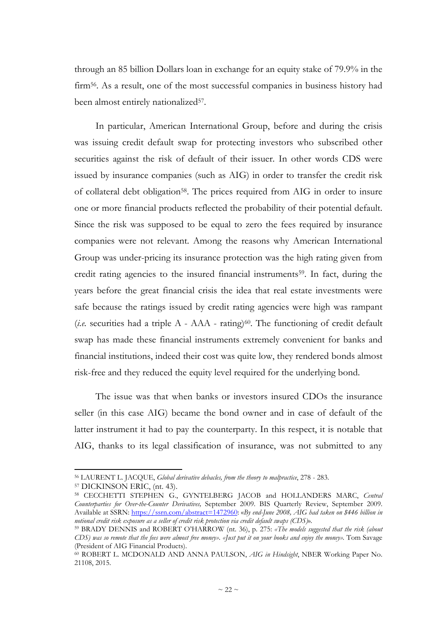through an 85 billion Dollars loan in exchange for an equity stake of 79.9% in the firm56. As a result, one of the most successful companies in business history had been almost entirely nationalized<sup>57</sup>.

In particular, American International Group, before and during the crisis was issuing credit default swap for protecting investors who subscribed other securities against the risk of default of their issuer. In other words CDS were issued by insurance companies (such as AIG) in order to transfer the credit risk of collateral debt obligation<sup>58</sup>. The prices required from AIG in order to insure one or more financial products reflected the probability of their potential default. Since the risk was supposed to be equal to zero the fees required by insurance companies were not relevant. Among the reasons why American International Group was under-pricing its insurance protection was the high rating given from credit rating agencies to the insured financial instruments59. In fact, during the years before the great financial crisis the idea that real estate investments were safe because the ratings issued by credit rating agencies were high was rampant  $(i.e.$  securities had a triple A - AAA - rating) $60$ . The functioning of credit default swap has made these financial instruments extremely convenient for banks and financial institutions, indeed their cost was quite low, they rendered bonds almost risk-free and they reduced the equity level required for the underlying bond.

The issue was that when banks or investors insured CDOs the insurance seller (in this case AIG) became the bond owner and in case of default of the latter instrument it had to pay the counterparty. In this respect, it is notable that AIG, thanks to its legal classification of insurance, was not submitted to any

<sup>56</sup> LAURENT L. JACQUE, *Global derivative debacles, from the theory to malpractice*, 278 - 283.

<sup>57</sup> DICKINSON ERIC, (nt. 43).

<sup>58</sup> CECCHETTI STEPHEN G., GYNTELBERG JACOB and HOLLANDERS MARC, *Central Counterparties for Over-the-Counter Derivatives,* September 2009. BIS Quarterly Review, September 2009. Available at SSRN: https://ssrn.com/abstract=1472960: «*By end-June 2008, AIG had taken on \$446 billion in notional credit risk exposure as a seller of credit risk protection via credit default swaps (CDS)*»*.*

<sup>59</sup> BRADY DENNIS and ROBERT O'HARROW (nt. 36), p. 275: *«The models suggested that the risk (about CDS) was so remote that the fees were almost free money». «Just put it on your books and enjoy the money».* Tom Savage (President of AIG Financial Products).

<sup>60</sup> ROBERT L. MCDONALD AND ANNA PAULSON, *AIG in Hindsight*, NBER Working Paper No. 21108, 2015.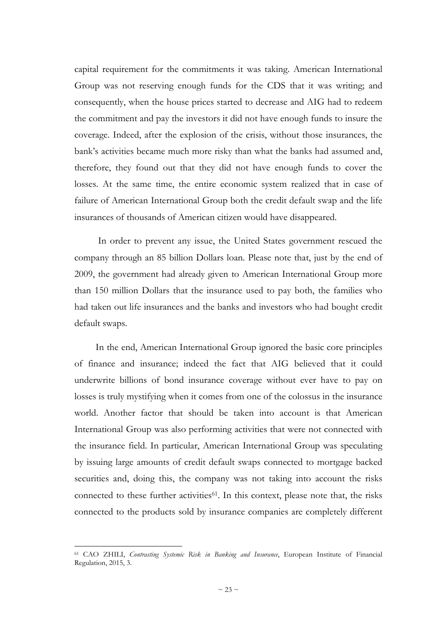capital requirement for the commitments it was taking. American International Group was not reserving enough funds for the CDS that it was writing; and consequently, when the house prices started to decrease and AIG had to redeem the commitment and pay the investors it did not have enough funds to insure the coverage. Indeed, after the explosion of the crisis, without those insurances, the bank's activities became much more risky than what the banks had assumed and, therefore, they found out that they did not have enough funds to cover the losses. At the same time, the entire economic system realized that in case of failure of American International Group both the credit default swap and the life insurances of thousands of American citizen would have disappeared.

 In order to prevent any issue, the United States government rescued the company through an 85 billion Dollars loan. Please note that, just by the end of 2009, the government had already given to American International Group more than 150 million Dollars that the insurance used to pay both, the families who had taken out life insurances and the banks and investors who had bought credit default swaps.

In the end, American International Group ignored the basic core principles of finance and insurance; indeed the fact that AIG believed that it could underwrite billions of bond insurance coverage without ever have to pay on losses is truly mystifying when it comes from one of the colossus in the insurance world. Another factor that should be taken into account is that American International Group was also performing activities that were not connected with the insurance field. In particular, American International Group was speculating by issuing large amounts of credit default swaps connected to mortgage backed securities and, doing this, the company was not taking into account the risks connected to these further activities<sup>61</sup>. In this context, please note that, the risks connected to the products sold by insurance companies are completely different

<sup>61</sup> CAO ZHILI, *Contrasting Systemic Risk in Banking and Insurance*, European Institute of Financial Regulation, 2015, 3.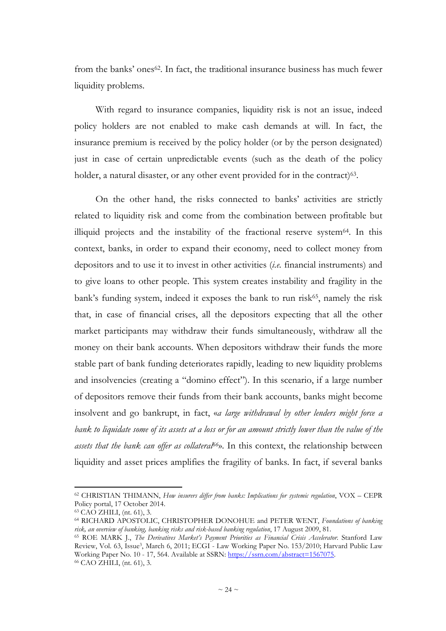from the banks' ones<sup>62</sup>. In fact, the traditional insurance business has much fewer liquidity problems.

With regard to insurance companies, liquidity risk is not an issue, indeed policy holders are not enabled to make cash demands at will. In fact, the insurance premium is received by the policy holder (or by the person designated) just in case of certain unpredictable events (such as the death of the policy holder, a natural disaster, or any other event provided for in the contract)<sup>63</sup>.

On the other hand, the risks connected to banks' activities are strictly related to liquidity risk and come from the combination between profitable but illiquid projects and the instability of the fractional reserve system64. In this context, banks, in order to expand their economy, need to collect money from depositors and to use it to invest in other activities (*i.e.* financial instruments) and to give loans to other people. This system creates instability and fragility in the bank's funding system, indeed it exposes the bank to run risk $65$ , namely the risk that, in case of financial crises, all the depositors expecting that all the other market participants may withdraw their funds simultaneously, withdraw all the money on their bank accounts. When depositors withdraw their funds the more stable part of bank funding deteriorates rapidly, leading to new liquidity problems and insolvencies (creating a "domino effect"). In this scenario, if a large number of depositors remove their funds from their bank accounts, banks might become insolvent and go bankrupt, in fact, «*a large withdrawal by other lenders might force a bank to liquidate some of its assets at a loss or for an amount strictly lower than the value of the assets that the bank can offer as collateral66*». In this context, the relationship between liquidity and asset prices amplifies the fragility of banks. In fact, if several banks

<sup>62</sup> CHRISTIAN THIMANN, *How insurers differ from banks: Implications for systemic regulation*, VOX – CEPR Policy portal, 17 October 2014.

<sup>63</sup> CAO ZHILI, (nt. 61), 3.

<sup>64</sup> RICHARD APOSTOLIC, CHRISTOPHER DONOHUE and PETER WENT, *Foundations of banking risk, an overview of banking, banking risks and risk-based banking regulation*, 17 August 2009, 81.

<sup>65</sup> ROE MARK J., *The Derivatives Market's Payment Priorities as Financial Crisis Accelerator*. Stanford Law Review, Vol. 63, Issue<sup>3</sup>, March 6, 2011; ECGI - Law Working Paper No. 153/2010; Harvard Public Law Working Paper No. 10 - 17, 564. Available at SSRN: https://ssrn.com/abstract=1567075. 66 CAO ZHILI, (nt. 61), 3.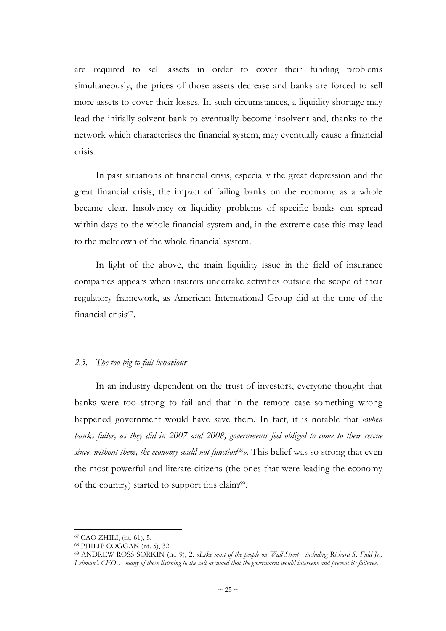are required to sell assets in order to cover their funding problems simultaneously, the prices of those assets decrease and banks are forced to sell more assets to cover their losses. In such circumstances, a liquidity shortage may lead the initially solvent bank to eventually become insolvent and, thanks to the network which characterises the financial system, may eventually cause a financial crisis.

In past situations of financial crisis, especially the great depression and the great financial crisis, the impact of failing banks on the economy as a whole became clear. Insolvency or liquidity problems of specific banks can spread within days to the whole financial system and, in the extreme case this may lead to the meltdown of the whole financial system.

In light of the above, the main liquidity issue in the field of insurance companies appears when insurers undertake activities outside the scope of their regulatory framework, as American International Group did at the time of the financial crisis<sup>67</sup>.

## *2.3. The too-big-to-fail behaviour*

In an industry dependent on the trust of investors, everyone thought that banks were too strong to fail and that in the remote case something wrong happened government would have save them. In fact, it is notable that *«when banks falter, as they did in 2007 and 2008, governments feel obliged to come to their rescue since, without them, the economy could not function*68*».* This belief was so strong that even the most powerful and literate citizens (the ones that were leading the economy of the country) started to support this claim<sup>69</sup>.

<sup>67</sup> CAO ZHILI, (nt. 61), 5.

<sup>68</sup> PHILIP COGGAN (nt. 5), 32:

<sup>69</sup> ANDREW ROSS SORKIN (nt. 9), 2: *«Like most of the people on Wall-Street - including Richard S. Fuld Jr., Lehman's CEO… many of those listening to the call assumed that the government would intervene and prevent its failure»*.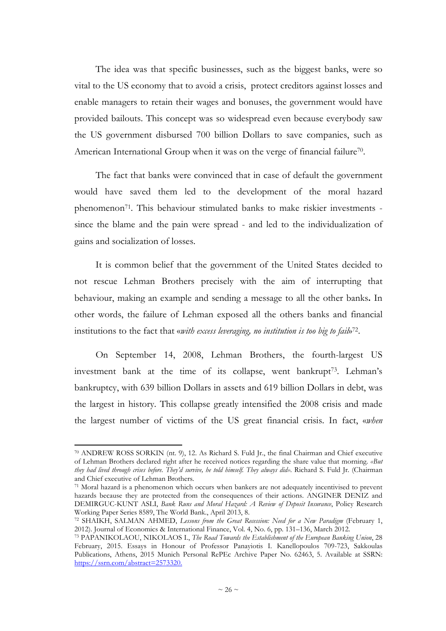The idea was that specific businesses, such as the biggest banks, were so vital to the US economy that to avoid a crisis, protect creditors against losses and enable managers to retain their wages and bonuses, the government would have provided bailouts. This concept was so widespread even because everybody saw the US government disbursed 700 billion Dollars to save companies, such as American International Group when it was on the verge of financial failure<sup>70</sup>.

The fact that banks were convinced that in case of default the government would have saved them led to the development of the moral hazard phenomenon71. This behaviour stimulated banks to make riskier investments since the blame and the pain were spread - and led to the individualization of gains and socialization of losses.

It is common belief that the government of the United States decided to not rescue Lehman Brothers precisely with the aim of interrupting that behaviour, making an example and sending a message to all the other banks**.** In other words, the failure of Lehman exposed all the others banks and financial institutions to the fact that «*with excess leveraging, no institution is too big to fail*»<sup>72</sup>.

On September 14, 2008, Lehman Brothers, the fourth-largest US investment bank at the time of its collapse, went bankrupt<sup>73</sup>. Lehman's bankruptcy, with 639 billion Dollars in assets and 619 billion Dollars in debt, was the largest in history. This collapse greatly intensified the 2008 crisis and made the largest number of victims of the US great financial crisis. In fact, «*when* 

<sup>70</sup> ANDREW ROSS SORKIN (nt. 9), 12. As Richard S. Fuld Jr., the final Chairman and Chief executive of Lehman Brothers declared right after he received notices regarding the share value that morning. *«But they had lived through crises before. They'd survive, he told himself. They always did».* Richard S. Fuld Jr. (Chairman and Chief executive of Lehman Brothers.

<sup>71</sup> Moral hazard is a phenomenon which occurs when bankers are not adequately incentivised to prevent hazards because they are protected from the consequences of their actions. ANGINER DENIZ and DEMIRGUC-KUNT ASLI, *Bank Runs and Moral Hazard: A Review of Deposit Insurance*, Policy Research Working Paper Series 8589, The World Bank., April 2013, 8.

<sup>72</sup> SHAIKH, SALMAN AHMED, *Lessons from the Great Recession: Need for a New Paradigm* (February 1, 2012). Journal of Economics & International Finance, Vol. 4, No. 6, pp. 131–136, March 2012.

<sup>73</sup> PAPANIKOLAOU, NIKOLAOS I., *The Road Towards the Establishment of the European Banking Union*, 28 February, 2015. Essays in Honour of Professor Panayiotis I. Kanellopoulos 709-723, Sakkoulas Publications, Athens, 2015 Munich Personal RePEc Archive Paper No. 62463, 5. Available at SSRN: https://ssrn.com/abstract=2573320.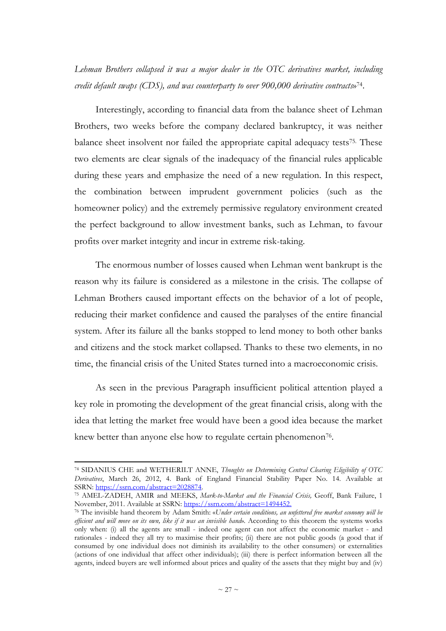*Lehman Brothers collapsed it was a major dealer in the OTC derivatives market, including credit default swaps (CDS), and was counterparty to over 900,000 derivative contracts*» 74 .

Interestingly, according to financial data from the balance sheet of Lehman Brothers, two weeks before the company declared bankruptcy, it was neither balance sheet insolvent nor failed the appropriate capital adequacy tests75. These two elements are clear signals of the inadequacy of the financial rules applicable during these years and emphasize the need of a new regulation. In this respect, the combination between imprudent government policies (such as the homeowner policy) and the extremely permissive regulatory environment created the perfect background to allow investment banks, such as Lehman, to favour profits over market integrity and incur in extreme risk-taking.

The enormous number of losses caused when Lehman went bankrupt is the reason why its failure is considered as a milestone in the crisis. The collapse of Lehman Brothers caused important effects on the behavior of a lot of people, reducing their market confidence and caused the paralyses of the entire financial system. After its failure all the banks stopped to lend money to both other banks and citizens and the stock market collapsed. Thanks to these two elements, in no time, the financial crisis of the United States turned into a macroeconomic crisis.

As seen in the previous Paragraph insufficient political attention played a key role in promoting the development of the great financial crisis, along with the idea that letting the market free would have been a good idea because the market knew better than anyone else how to regulate certain phenomenon<sup>76</sup>.

<sup>74</sup> SIDANIUS CHE and WETHERILT ANNE, *Thoughts on Determining Central Clearing Eligibility of OTC Derivatives*, March 26, 2012, 4. Bank of England Financial Stability Paper No. 14. Available at SSRN: https://ssrn.com/abstract=2028874.

<sup>75</sup> AMEL-ZADEH, AMIR and MEEKS, *Mark-to-Market and the Financial Crisis,* Geoff, Bank Failure, 1 November, 2011. Available at SSRN: https://ssrn.com/abstract=1494452.

<sup>76</sup> The invisible hand theorem by Adam Smith: «*Under certain conditions, an unfettered free market economy will be efficient and will move on its own, like if it was an invisible hand*»*.* According to this theorem the systems works only when: (i) all the agents are small - indeed one agent can not affect the economic market - and rationales - indeed they all try to maximise their profits; (ii) there are not public goods (a good that if consumed by one individual does not diminish its availability to the other consumers) or externalities (actions of one individual that affect other individuals); (iii) there is perfect information between all the agents, indeed buyers are well informed about prices and quality of the assets that they might buy and (iv)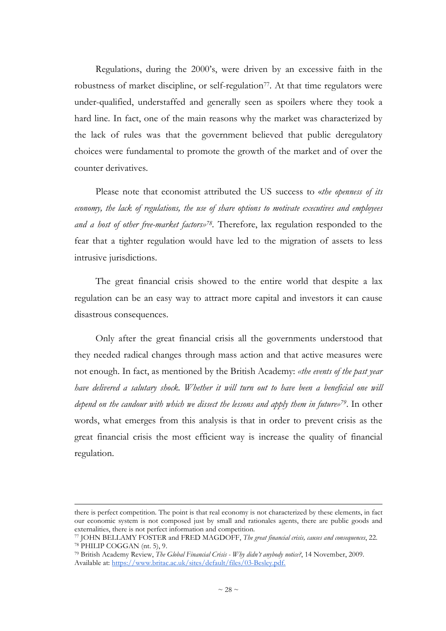Regulations, during the 2000's, were driven by an excessive faith in the robustness of market discipline, or self-regulation<sup>77</sup>. At that time regulators were under-qualified, understaffed and generally seen as spoilers where they took a hard line. In fact, one of the main reasons why the market was characterized by the lack of rules was that the government believed that public deregulatory choices were fundamental to promote the growth of the market and of over the counter derivatives.

Please note that economist attributed the US success to «*the openness of its economy, the lack of regulations, the use of share options to motivate executives and employees and a host of other free-market factors»<sup>78</sup> .* Therefore, lax regulation responded to the fear that a tighter regulation would have led to the migration of assets to less intrusive jurisdictions.

The great financial crisis showed to the entire world that despite a lax regulation can be an easy way to attract more capital and investors it can cause disastrous consequences.

Only after the great financial crisis all the governments understood that they needed radical changes through mass action and that active measures were not enough. In fact, as mentioned by the British Academy: *«the events of the past year have delivered a salutary shock. Whether it will turn out to have been a beneficial one will depend on the candour with which we dissect the lessons and apply them in future»79*. In other words, what emerges from this analysis is that in order to prevent crisis as the great financial crisis the most efficient way is increase the quality of financial regulation.

there is perfect competition. The point is that real economy is not characterized by these elements, in fact our economic system is not composed just by small and rationales agents, there are public goods and externalities, there is not perfect information and competition.

<sup>77</sup> JOHN BELLAMY FOSTER and FRED MAGDOFF, *The great financial crisis, causes and consequences*, 22.

<sup>78</sup> PHILIP COGGAN (nt. 5), 9.

<sup>79</sup> British Academy Review, *The Global Financial Crisis - Why didn't anybody notice?*, 14 November, 2009. Available at: https://www.britac.ac.uk/sites/default/files/03-Besley.pdf.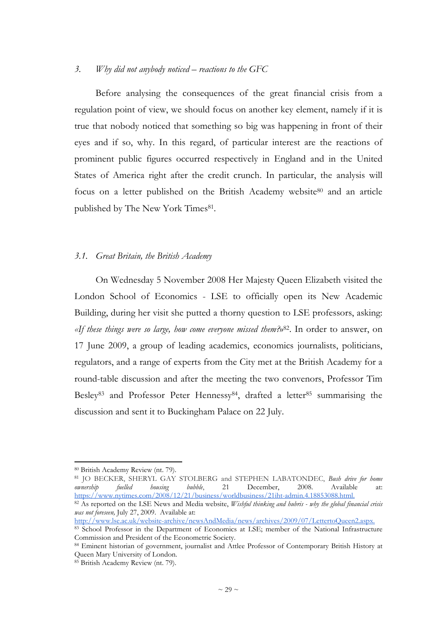#### *3. Why did not anybody noticed – reactions to the GFC*

Before analysing the consequences of the great financial crisis from a regulation point of view, we should focus on another key element, namely if it is true that nobody noticed that something so big was happening in front of their eyes and if so, why. In this regard, of particular interest are the reactions of prominent public figures occurred respectively in England and in the United States of America right after the credit crunch. In particular, the analysis will focus on a letter published on the British Academy website80 and an article published by The New York Times<sup>81</sup>.

#### *3.1. Great Britain, the British Academy*

On Wednesday 5 November 2008 Her Majesty Queen Elizabeth visited the London School of Economics - LSE to officially open its New Academic Building, during her visit she putted a thorny question to LSE professors, asking: *«If these things were so large, how come everyone missed them?*» <sup>82</sup>. In order to answer, on 17 June 2009, a group of leading academics, economics journalists, politicians, regulators, and a range of experts from the City met at the British Academy for a round-table discussion and after the meeting the two convenors, Professor Tim Besley<sup>83</sup> and Professor Peter Hennessy<sup>84</sup>, drafted a letter<sup>85</sup> summarising the discussion and sent it to Buckingham Palace on 22 July.

<sup>81</sup> JO BECKER, SHERYL GAY STOLBERG and STEPHEN LABATONDEC, *Bush drive for home ownership fuelled housing bubble*, 21 December, 2008. Available at: https://www.nytimes.com/2008/12/21/business/worldbusiness/21iht-admin.4.18853088.html.

<sup>82</sup> As reported on the LSE News and Media website, *Wishful thinking and hubris - why the global financial crisis was not foreseen,* July 27, 2009. Available at:

http://www.lse.ac.uk/website-archive/newsAndMedia/news/archives/2009/07/LettertoQueen2.aspx.

<sup>80</sup> British Academy Review (nt. 79).

<sup>83</sup> School Professor in the Department of Economics at LSE; member of the National Infrastructure Commission and President of the Econometric Society.

<sup>84</sup> Eminent historian of government, journalist and Attlee Professor of Contemporary British History at Queen Mary University of London.

<sup>85</sup> British Academy Review (nt. 79).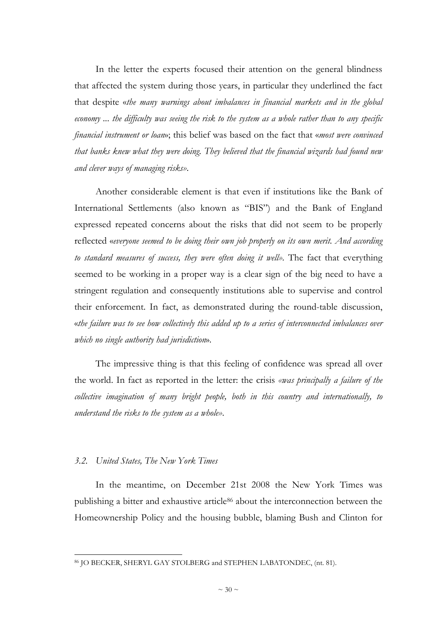In the letter the experts focused their attention on the general blindness that affected the system during those years, in particular they underlined the fact that despite «*the many warnings about imbalances in financial markets and in the global economy ... the difficulty was seeing the risk to the system as a whole rather than to any specific financial instrument or loan*»; this belief was based on the fact that «*most were convinced that banks knew what they were doing. They believed that the financial wizards had found new and clever ways of managing risks»*.

Another considerable element is that even if institutions like the Bank of International Settlements (also known as "BIS") and the Bank of England expressed repeated concerns about the risks that did not seem to be properly reflected «*everyone seemed to be doing their own job properly on its own merit. And according*  to standard measures of success, they were often doing it well». The fact that everything seemed to be working in a proper way is a clear sign of the big need to have a stringent regulation and consequently institutions able to supervise and control their enforcement. In fact, as demonstrated during the round-table discussion, «*the failure was to see how collectively this added up to a series of interconnected imbalances over which no single authority had jurisdiction*».

The impressive thing is that this feeling of confidence was spread all over the world. In fact as reported in the letter: the crisis *«was principally a failure of the collective imagination of many bright people, both in this country and internationally, to understand the risks to the system as a whole»*.

# *3.2. United States, The New York Times*

l

In the meantime, on December 21st 2008 the New York Times was publishing a bitter and exhaustive article<sup>86</sup> about the interconnection between the Homeownership Policy and the housing bubble, blaming Bush and Clinton for

<sup>86</sup> JO BECKER, SHERYL GAY STOLBERG and STEPHEN LABATONDEC, (nt. 81).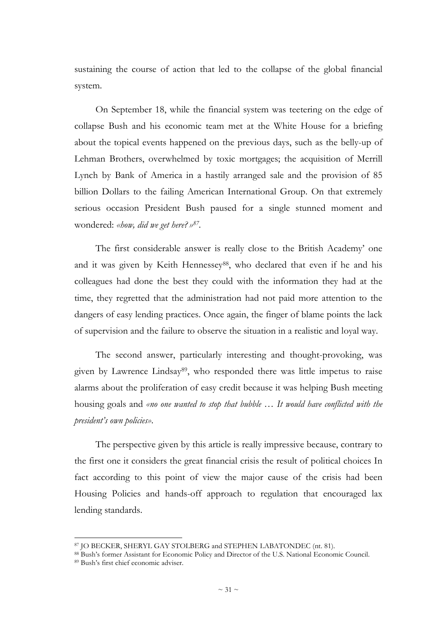sustaining the course of action that led to the collapse of the global financial system.

On September 18, while the financial system was teetering on the edge of collapse Bush and his economic team met at the White House for a briefing about the topical events happened on the previous days, such as the belly-up of Lehman Brothers, overwhelmed by toxic mortgages; the acquisition of Merrill Lynch by Bank of America in a hastily arranged sale and the provision of 85 billion Dollars to the failing American International Group. On that extremely serious occasion President Bush paused for a single stunned moment and wondered: *«how, did we get here?» 87 .* 

The first considerable answer is really close to the British Academy' one and it was given by Keith Hennessey<sup>88</sup>, who declared that even if he and his colleagues had done the best they could with the information they had at the time, they regretted that the administration had not paid more attention to the dangers of easy lending practices. Once again, the finger of blame points the lack of supervision and the failure to observe the situation in a realistic and loyal way.

The second answer, particularly interesting and thought-provoking, was given by Lawrence Lindsay<sup>89</sup>, who responded there was little impetus to raise alarms about the proliferation of easy credit because it was helping Bush meeting housing goals and *«no one wanted to stop that bubble … It would have conflicted with the president's own policies»*.

The perspective given by this article is really impressive because, contrary to the first one it considers the great financial crisis the result of political choices In fact according to this point of view the major cause of the crisis had been Housing Policies and hands-off approach to regulation that encouraged lax lending standards.

<sup>87</sup> JO BECKER, SHERYL GAY STOLBERG and STEPHEN LABATONDEC (nt. 81).

<sup>88</sup> Bush's former Assistant for Economic Policy and Director of the U.S. National Economic Council.

<sup>89</sup> Bush's first chief economic adviser.